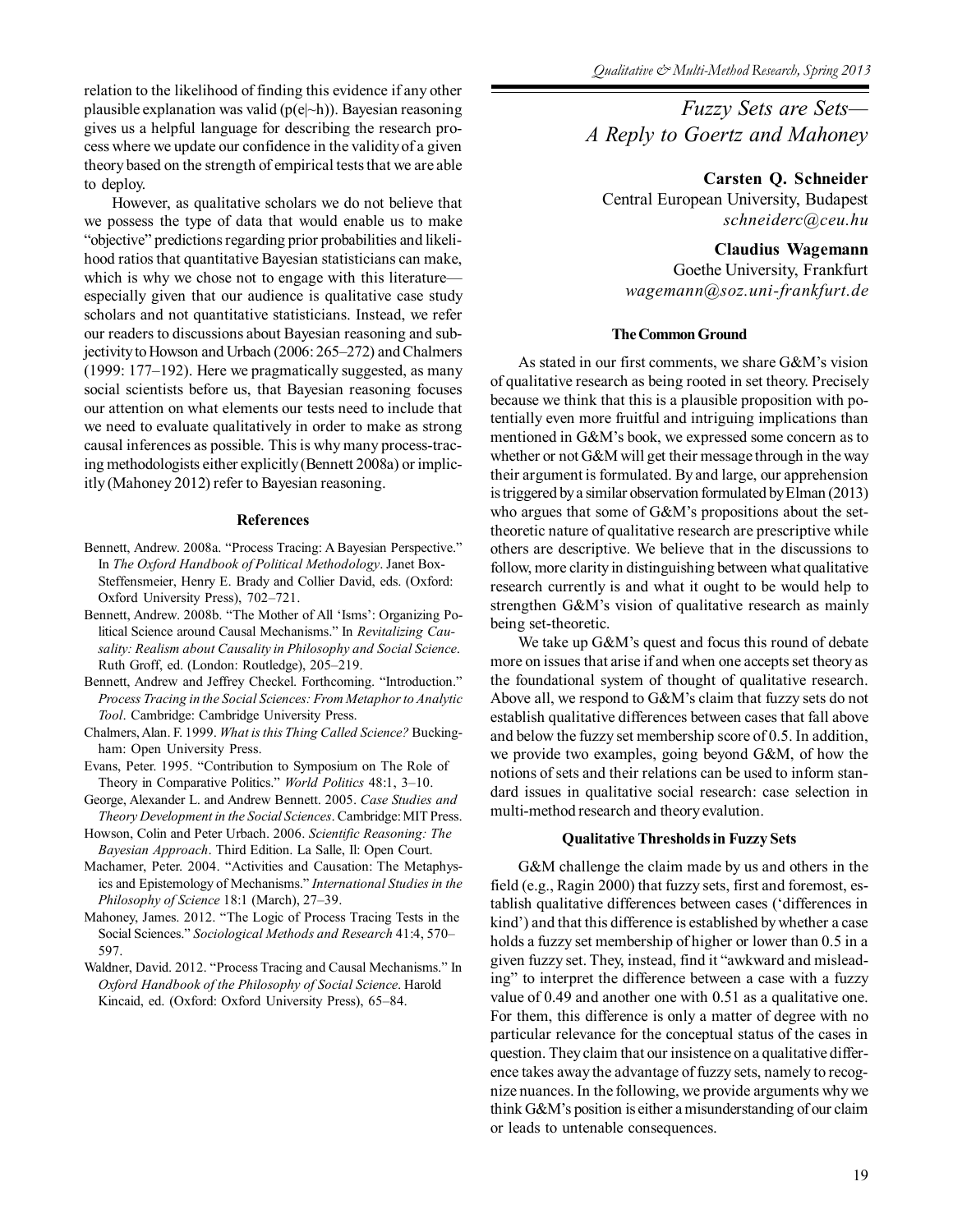relation to the likelihood of finding this evidence if any other plausible explanation was valid  $(p(e|\neg h))$ . Bayesian reasoning gives us a helpful language for describing the research process where we update our confidence in the validity of a given theory based on the strength of empirical tests that we are able to deploy.

However, as qualitative scholars we do not believe that we possess the type of data that would enable us to make "objective" predictions regarding prior probabilities and likelihood ratios that quantitative Bayesian statisticians can make, which is why we chose not to engage with this literature especially given that our audience is qualitative case study scholars and not quantitative statisticians. Instead, we refer our readers to discussions about Bayesian reasoning and subjectivity to Howson and Urbach (2006: 265–272) and Chalmers (1999: 177–192). Here we pragmatically suggested, as many social scientists before us, that Bayesian reasoning focuses our attention on what elements our tests need to include that we need to evaluate qualitatively in order to make as strong causal inferences as possible. This is why many process-tracing methodologists either explicitly (Bennett 2008a) or implicitly (Mahoney 2012) refer to Bayesian reasoning.

## **References**

- Bennett, Andrew. 2008a. "Process Tracing: A Bayesian Perspective." In *The Oxford Handbook of Political Methodology*. Janet Box-Steffensmeier, Henry E. Brady and Collier David, eds. (Oxford: Oxford University Press), 702–721.
- Bennett, Andrew. 2008b. "The Mother of All 'Isms': Organizing Political Science around Causal Mechanisms." In *Revitalizing Causality: Realism about Causality in Philosophy and Social Science*. Ruth Groff, ed. (London: Routledge), 205–219.
- Bennett, Andrew and Jeffrey Checkel. Forthcoming. "Introduction." *Process Tracing in the Social Sciences: From Metaphor to Analytic Tool*. Cambridge: Cambridge University Press.
- Chalmers, Alan. F. 1999. *What is this Thing Called Science?* Buckingham: Open University Press.
- Evans, Peter. 1995. "Contribution to Symposium on The Role of Theory in Comparative Politics." *World Politics* 48:1, 3–10.
- George, Alexander L. and Andrew Bennett. 2005. *Case Studies and Theory Development in the Social Sciences*. Cambridge: MIT Press.
- Howson, Colin and Peter Urbach. 2006. *Scientific Reasoning: The Bayesian Approach*. Third Edition. La Salle, Il: Open Court.
- Machamer, Peter. 2004. "Activities and Causation: The Metaphysics and Epistemology of Mechanisms." *International Studies in the Philosophy of Science* 18:1 (March), 27–39.
- Mahoney, James. 2012. "The Logic of Process Tracing Tests in the Social Sciences." *Sociological Methods and Research* 41:4, 570– 597.
- Waldner, David. 2012. "Process Tracing and Causal Mechanisms." In *Oxford Handbook of the Philosophy of Social Science*. Harold Kincaid, ed. (Oxford: Oxford University Press), 65–84.

*Fuzzy Sets are Sets— A Reply to Goertz and Mahoney*

**Carsten Q. Schneider**

Central European University, Budapest *schneiderc@ceu.hu*

# **Claudius Wagemann**

Goethe University, Frankfurt *wagemann@soz.uni-frankfurt.de*

### **The Common Ground**

As stated in our first comments, we share G&M's vision of qualitative research as being rooted in set theory. Precisely because we think that this is a plausible proposition with potentially even more fruitful and intriguing implications than mentioned in G&M's book, we expressed some concern as to whether or not G&M will get their message through in the way their argument is formulated. By and large, our apprehension is triggered by a similar observation formulated by Elman (2013) who argues that some of G&M's propositions about the settheoretic nature of qualitative research are prescriptive while others are descriptive. We believe that in the discussions to follow, more clarity in distinguishing between what qualitative research currently is and what it ought to be would help to strengthen G&M's vision of qualitative research as mainly being set-theoretic.

We take up G&M's quest and focus this round of debate more on issues that arise if and when one accepts set theory as the foundational system of thought of qualitative research. Above all, we respond to G&M's claim that fuzzy sets do not establish qualitative differences between cases that fall above and below the fuzzy set membership score of 0.5. In addition, we provide two examples, going beyond G&M, of how the notions of sets and their relations can be used to inform standard issues in qualitative social research: case selection in multi-method research and theory evalution.

## **Qualitative Thresholds in Fuzzy Sets**

G&M challenge the claim made by us and others in the field (e.g., Ragin 2000) that fuzzy sets, first and foremost, establish qualitative differences between cases ('differences in kind') and that this difference is established by whether a case holds a fuzzy set membership of higher or lower than 0.5 in a given fuzzy set. They, instead, find it "awkward and misleading" to interpret the difference between a case with a fuzzy value of 0.49 and another one with 0.51 as a qualitative one. For them, this difference is only a matter of degree with no particular relevance for the conceptual status of the cases in question. They claim that our insistence on a qualitative difference takes away the advantage of fuzzy sets, namely to recognize nuances. In the following, we provide arguments why we think G&M's position is either a misunderstanding of our claim or leads to untenable consequences.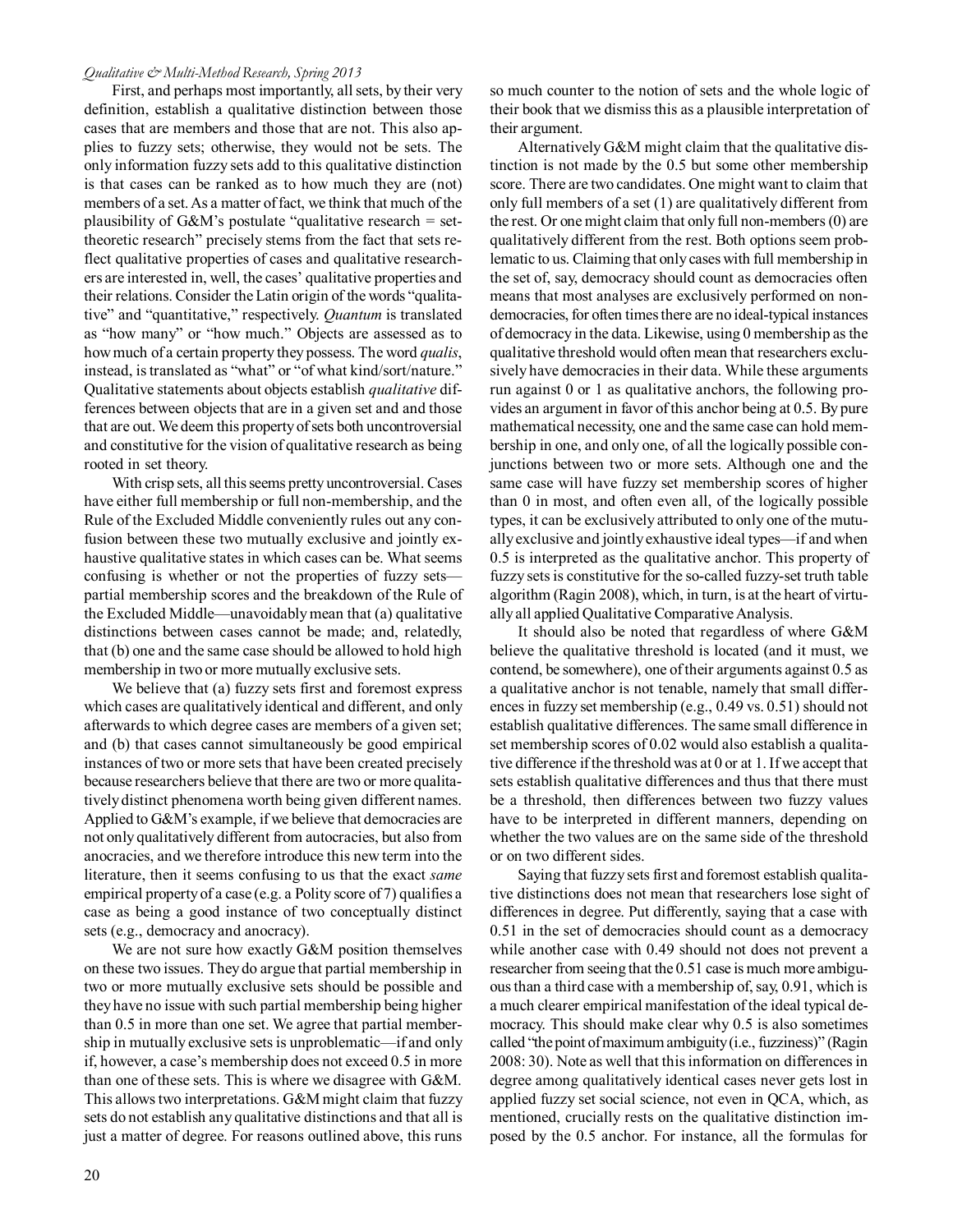## *Qualitative & Multi-Method Research, Spring 2013*

First, and perhaps most importantly, all sets, by their very definition, establish a qualitative distinction between those cases that are members and those that are not. This also applies to fuzzy sets; otherwise, they would not be sets. The only information fuzzy sets add to this qualitative distinction is that cases can be ranked as to how much they are (not) members of a set. As a matter of fact, we think that much of the plausibility of  $G\&M$ 's postulate "qualitative research = settheoretic research" precisely stems from the fact that sets reflect qualitative properties of cases and qualitative researchers are interested in, well, the cases' qualitative properties and their relations. Consider the Latin origin of the words "qualitative" and "quantitative," respectively. *Quantum* is translated as "how many" or "how much." Objects are assessed as to how much of a certain property they possess. The word *qualis*, instead, is translated as "what" or "of what kind/sort/nature." Qualitative statements about objects establish *qualitative* differences between objects that are in a given set and and those that are out. We deem this property of sets both uncontroversial and constitutive for the vision of qualitative research as being rooted in set theory.

With crisp sets, all this seems pretty uncontroversial. Cases have either full membership or full non-membership, and the Rule of the Excluded Middle conveniently rules out any confusion between these two mutually exclusive and jointly exhaustive qualitative states in which cases can be. What seems confusing is whether or not the properties of fuzzy sets partial membership scores and the breakdown of the Rule of the Excluded Middle—unavoidably mean that (a) qualitative distinctions between cases cannot be made; and, relatedly, that (b) one and the same case should be allowed to hold high membership in two or more mutually exclusive sets.

We believe that (a) fuzzy sets first and foremost express which cases are qualitatively identical and different, and only afterwards to which degree cases are members of a given set; and (b) that cases cannot simultaneously be good empirical instances of two or more sets that have been created precisely because researchers believe that there are two or more qualitatively distinct phenomena worth being given different names. Applied to G&M's example, if we believe that democracies are not only qualitatively different from autocracies, but also from anocracies, and we therefore introduce this new term into the literature, then it seems confusing to us that the exact *same* empirical property of a case (e.g. a Polity score of 7) qualifies a case as being a good instance of two conceptually distinct sets (e.g., democracy and anocracy).

We are not sure how exactly G&M position themselves on these two issues. They do argue that partial membership in two or more mutually exclusive sets should be possible and they have no issue with such partial membership being higher than 0.5 in more than one set. We agree that partial membership in mutually exclusive sets is unproblematic—if and only if, however, a case's membership does not exceed 0.5 in more than one of these sets. This is where we disagree with G&M. This allows two interpretations. G&M might claim that fuzzy sets do not establish any qualitative distinctions and that all is just a matter of degree. For reasons outlined above, this runs so much counter to the notion of sets and the whole logic of their book that we dismiss this as a plausible interpretation of their argument.

Alternatively G&M might claim that the qualitative distinction is not made by the 0.5 but some other membership score. There are two candidates. One might want to claim that only full members of a set (1) are qualitatively different from the rest. Or one might claim that only full non-members (0) are qualitatively different from the rest. Both options seem problematic to us. Claiming that only cases with full membership in the set of, say, democracy should count as democracies often means that most analyses are exclusively performed on nondemocracies, for often times there are no ideal-typical instances of democracy in the data. Likewise, using 0 membership as the qualitative threshold would often mean that researchers exclusively have democracies in their data. While these arguments run against 0 or 1 as qualitative anchors, the following provides an argument in favor of this anchor being at 0.5. By pure mathematical necessity, one and the same case can hold membership in one, and only one, of all the logically possible conjunctions between two or more sets. Although one and the same case will have fuzzy set membership scores of higher than 0 in most, and often even all, of the logically possible types, it can be exclusively attributed to only one of the mutually exclusive and jointly exhaustive ideal types—if and when 0.5 is interpreted as the qualitative anchor. This property of fuzzy sets is constitutive for the so-called fuzzy-set truth table algorithm (Ragin 2008), which, in turn, is at the heart of virtually all applied Qualitative Comparative Analysis.

It should also be noted that regardless of where G&M believe the qualitative threshold is located (and it must, we contend, be somewhere), one of their arguments against 0.5 as a qualitative anchor is not tenable, namely that small differences in fuzzy set membership (e.g., 0.49 vs. 0.51) should not establish qualitative differences. The same small difference in set membership scores of 0.02 would also establish a qualitative difference if the threshold was at 0 or at 1. If we accept that sets establish qualitative differences and thus that there must be a threshold, then differences between two fuzzy values have to be interpreted in different manners, depending on whether the two values are on the same side of the threshold or on two different sides.

Saying that fuzzy sets first and foremost establish qualitative distinctions does not mean that researchers lose sight of differences in degree. Put differently, saying that a case with 0.51 in the set of democracies should count as a democracy while another case with 0.49 should not does not prevent a researcher from seeing that the 0.51 case is much more ambiguous than a third case with a membership of, say, 0.91, which is a much clearer empirical manifestation of the ideal typical democracy. This should make clear why 0.5 is also sometimes called "the point of maximum ambiguity (i.e., fuzziness)" (Ragin 2008: 30). Note as well that this information on differences in degree among qualitatively identical cases never gets lost in applied fuzzy set social science, not even in QCA, which, as mentioned, crucially rests on the qualitative distinction imposed by the 0.5 anchor. For instance, all the formulas for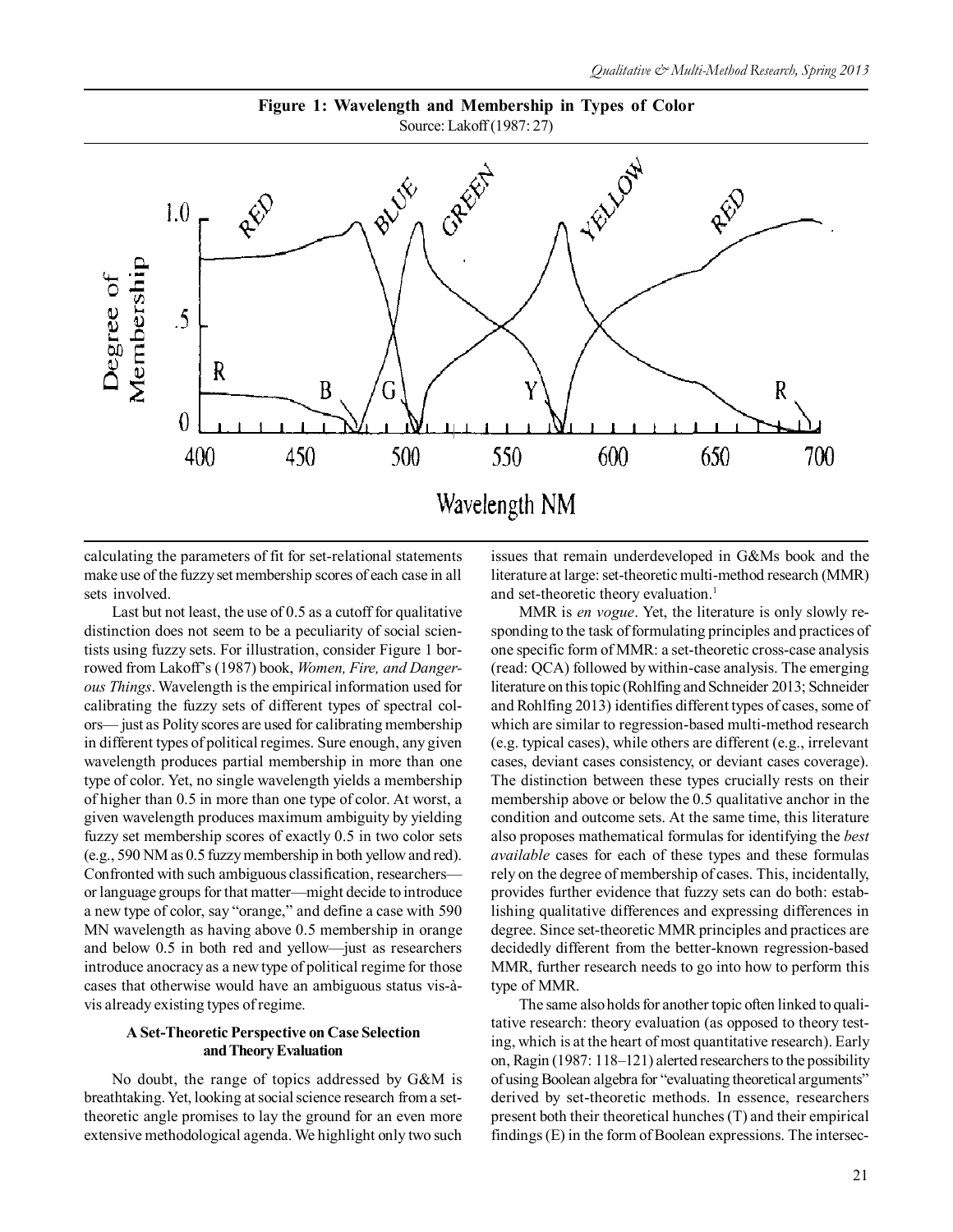

**Figure 1: Wavelength and Membership in Types of Color** Source: Lakoff (1987: 27)

calculating the parameters of fit for set-relational statements make use of the fuzzy set membership scores of each case in all sets involved.

Last but not least, the use of 0.5 as a cutoff for qualitative distinction does not seem to be a peculiarity of social scientists using fuzzy sets. For illustration, consider Figure 1 borrowed from Lakoff's (1987) book, *Women, Fire, and Dangerous Things*. Wavelength is the empirical information used for calibrating the fuzzy sets of different types of spectral colors— just as Polity scores are used for calibrating membership in different types of political regimes. Sure enough, any given wavelength produces partial membership in more than one type of color. Yet, no single wavelength yields a membership of higher than 0.5 in more than one type of color. At worst, a given wavelength produces maximum ambiguity by yielding fuzzy set membership scores of exactly 0.5 in two color sets (e.g., 590 NM as 0.5 fuzzy membership in both yellow and red). Confronted with such ambiguous classification, researchers or language groups for that matter—might decide to introduce a new type of color, say "orange," and define a case with 590 MN wavelength as having above 0.5 membership in orange and below 0.5 in both red and yellow—just as researchers introduce anocracy as a new type of political regime for those cases that otherwise would have an ambiguous status vis-àvis already existing types of regime.

# **A Set-Theoretic Perspective on Case Selection and Theory Evaluation**

No doubt, the range of topics addressed by G&M is breathtaking. Yet, looking at social science research from a settheoretic angle promises to lay the ground for an even more extensive methodological agenda. We highlight only two such issues that remain underdeveloped in G&Ms book and the literature at large: set-theoretic multi-method research (MMR) and set-theoretic theory evaluation.<sup>1</sup>

MMR is *en vogue*. Yet, the literature is only slowly responding to the task of formulating principles and practices of one specific form of MMR: a set-theoretic cross-case analysis (read: QCA) followed by within-case analysis. The emerging literature on this topic (Rohlfing and Schneider 2013; Schneider and Rohlfing 2013) identifies different types of cases, some of which are similar to regression-based multi-method research (e.g. typical cases), while others are different (e.g., irrelevant cases, deviant cases consistency, or deviant cases coverage). The distinction between these types crucially rests on their membership above or below the 0.5 qualitative anchor in the condition and outcome sets. At the same time, this literature also proposes mathematical formulas for identifying the *best available* cases for each of these types and these formulas rely on the degree of membership of cases. This, incidentally, provides further evidence that fuzzy sets can do both: establishing qualitative differences and expressing differences in degree. Since set-theoretic MMR principles and practices are decidedly different from the better-known regression-based MMR, further research needs to go into how to perform this type of MMR.

The same also holds for another topic often linked to qualitative research: theory evaluation (as opposed to theory testing, which is at the heart of most quantitative research). Early on, Ragin (1987: 118–121) alerted researchers to the possibility of using Boolean algebra for "evaluating theoretical arguments" derived by set-theoretic methods. In essence, researchers present both their theoretical hunches (T) and their empirical findings (E) in the form of Boolean expressions. The intersec-